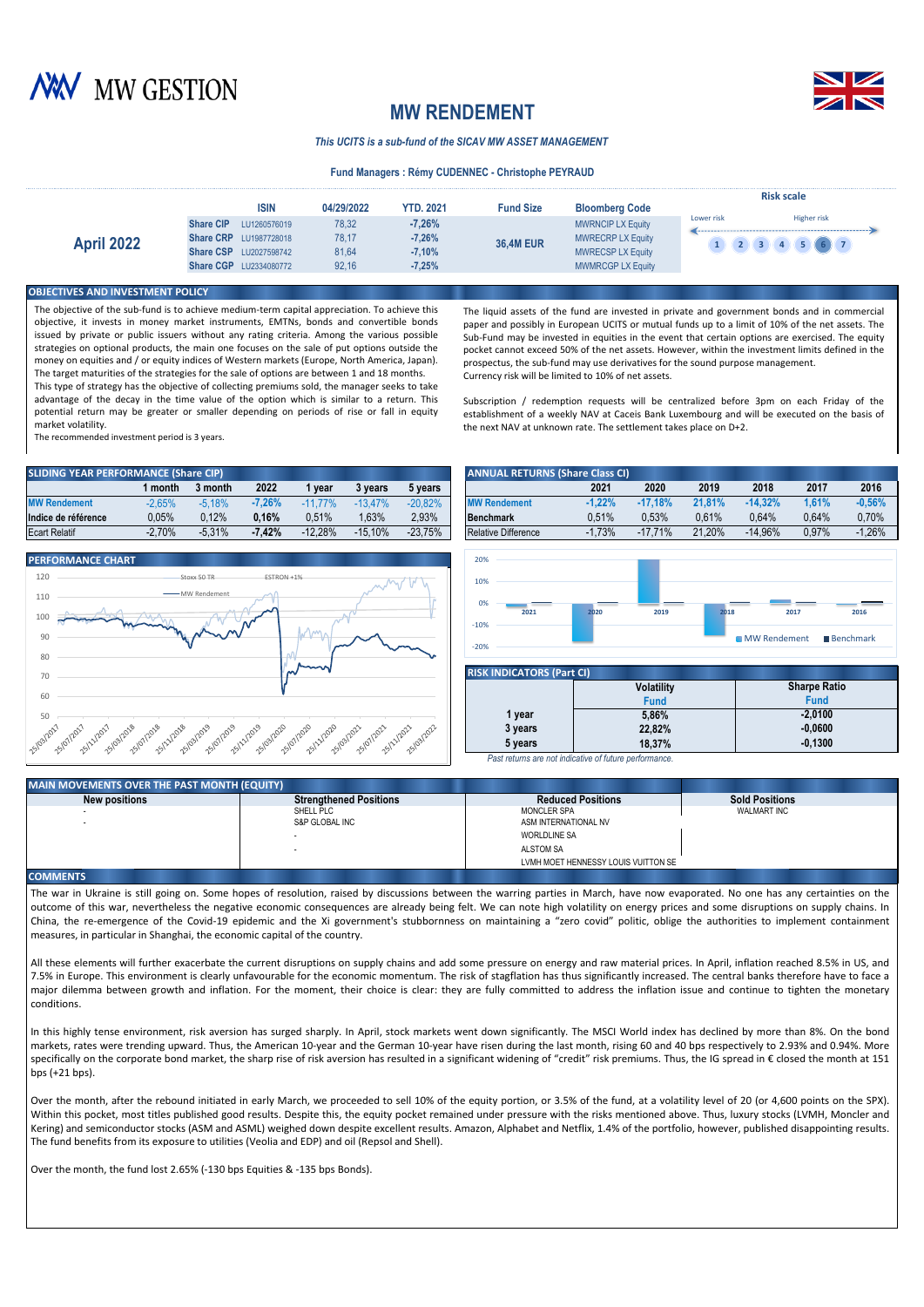



# **MW RENDEMENT**

*This UCITS is a sub-fund of the SICAV MW ASSET MANAGEMENT*

### **Fund Managers : Rémy CUDENNEC - Christophe PEYRAUD**

|                   | <b>ISIN</b>                                                                                                                            | 04/29/2022                       | <b>YTD. 2021</b>                             | <b>Fund Size</b> | <b>Bloomberg Code</b>                                                                                        | <b>Risk scale</b>                                          |
|-------------------|----------------------------------------------------------------------------------------------------------------------------------------|----------------------------------|----------------------------------------------|------------------|--------------------------------------------------------------------------------------------------------------|------------------------------------------------------------|
| <b>April 2022</b> | <b>Share CIP</b><br>LU1260576019<br><b>Share CRP</b> LU1987728018<br><b>Share CSP</b><br>LU2027598742<br><b>Share CGP LU2334080772</b> | 78.32<br>78.17<br>81,64<br>92.16 | $-7.26%$<br>$-7,26%$<br>$-7,10%$<br>$-7,25%$ | <b>36,4M EUR</b> | <b>MWRNCIP LX Equity</b><br><b>MWRECRP LX Equity</b><br><b>MWRECSP LX Equity</b><br><b>MWMRCGP LX Equity</b> | <b>Higher risk</b><br>Lower risk<br>$\left( 4 \right)$ (5) |

### *<u>BIECTIVES AND INVESTMENT POLICY</u>*

The objective of the sub-fund is to achieve medium-term capital appreciation. To achieve this objective, it invests in money market instruments, EMTNs, bonds and convertible bonds issued by private or public issuers without any rating criteria. Among the various possible strategies on optional products, the main one focuses on the sale of put options outside the money on equities and / or equity indices of Western markets (Europe, North America, Japan). The target maturities of the strategies for the sale of options are between 1 and 18 months.

This type of strategy has the objective of collecting premiums sold, the manager seeks to take advantage of the decay in the time value of the option which is similar to a return. This potential return may be greater or smaller depending on periods of rise or fall in equity market volatility.

The recommended investment period is 3 years.

| <b>SLIDING YEAR PERFORMANCE (Share CIP)</b> |          |          |          |           |           |           | <b>ANNUAL RETURNS (Share Class CI)</b> |          |           |        |           |       |          |
|---------------------------------------------|----------|----------|----------|-----------|-----------|-----------|----------------------------------------|----------|-----------|--------|-----------|-------|----------|
|                                             | month    | 3 month  | 2022     | vear      | 3 years   | 5 years   |                                        | 2021     | 2020      | 2019   | 2018      | 2017  | 2016     |
| <b>MW Rendement</b>                         | $-2.65%$ | $-5.18%$ | 7.26%    | 77%       | $-13.47%$ | $-20.82%$ | <b>MW Rendement</b>                    | $-1.22%$ | $-17.18%$ | 21.81% | $-14.32%$ | 1.61% | $-0,56%$ |
| Indice de référence                         | $0.05\%$ | 0.12%    | 0.16%    | 0.51%     | 1.63%     | 2.93%     | Benchmark                              | 0.51%    | 0.53%     | 0.61%  | 0.64%     | 0.64% | 0.70%    |
| <b>Ecart Relatif</b>                        | $-2.70%$ | $-5.31%$ | $-7.42%$ | $-12.28%$ | $-15.10%$ | $-23.75%$ | <b>Relative Difference</b>             | $-1.73%$ | $-17.71%$ | 21.20% | $-14.96%$ | 0.97% | 1.26%    |



The liquid assets of the fund are invested in private and government bonds and in commercial paper and possibly in European UCITS or mutual funds up to a limit of 10% of the net assets. The Sub-Fund may be invested in equities in the event that certain options are exercised. The equity pocket cannot exceed 50% of the net assets. However, within the investment limits defined in the prospectus, the sub-fund may use derivatives for the sound purpose management. Currency risk will be limited to 10% of net assets.

Subscription / redemption requests will be centralized before 3pm on each Friday of the establishment of a weekly NAV at Caceis Bank Luxembourg and will be executed on the basis of the next NAV at unknown rate. The settlement takes place on D+2.

| <b>ANCE (Share CIP)</b> |          |          |                                        |           |           | <b>ANNUAL RETURNS (Share Class CI)</b> |          |               |        |           |       |          |
|-------------------------|----------|----------|----------------------------------------|-----------|-----------|----------------------------------------|----------|---------------|--------|-----------|-------|----------|
| month                   | 3 month  | 2022     | vear                                   | 3 vears   | 5 years   |                                        | 2021     | 2020          | 2019   | 2018      | 2017  | 2016     |
| $-2.65%$                | $-5.18%$ | -7.26%   | $-11$ <sup><math>+</math></sup><br>77% | $-13.47%$ | $-20.82%$ | <b>MW Rendement</b>                    | $-1.22%$ | $-17.18%$     | 21.81% | $-14.32%$ | 1.61% | $-0.56%$ |
| 0.05%                   | 0.12%    | 0.16%    | 0.51%                                  | .63%      | 2.93%     | <b>Benchmark</b>                       | 0.51%    | 0.53%         | 0.61%  | 0.64%     | 0.64% | 0.70%    |
| $-2,70%$                | $-5.31%$ | $-7.42%$ | $-12.28%$                              | $-15.10%$ | $-23.75%$ | <b>Relative Difference</b>             | $-1.73%$ | .71%<br>$-17$ | 21.20% | $-14.96%$ | 0.97% | $-1.26%$ |



| <b>RISK INDICATORS (Part CI)</b> |                                                        |                     |  |  |  |  |  |  |  |
|----------------------------------|--------------------------------------------------------|---------------------|--|--|--|--|--|--|--|
|                                  | <b>Volatility</b>                                      | <b>Sharpe Ratio</b> |  |  |  |  |  |  |  |
|                                  | <b>Fund</b>                                            | <b>Fund</b>         |  |  |  |  |  |  |  |
| 1 year                           | 5.86%                                                  | $-2.0100$           |  |  |  |  |  |  |  |
| 3 years                          | 22.82%                                                 | $-0,0600$           |  |  |  |  |  |  |  |
| 5 years                          | 18.37%                                                 | $-0.1300$           |  |  |  |  |  |  |  |
|                                  | Past returns are not indicative of future performance. |                     |  |  |  |  |  |  |  |

## **MAIN MOVEMENTS OVER THE PAST MONTH (EQUITY)**

| <b>INAIN MOVEMENTS OVER THE PAST MONTH (EQUITY)</b> |                               |                                     |                       |
|-----------------------------------------------------|-------------------------------|-------------------------------------|-----------------------|
| New positions                                       | <b>Strenathened Positions</b> | <b>Reduced Positions</b>            | <b>Sold Positions</b> |
|                                                     | SHELL PLC                     | <b>MONCLER SPA</b>                  | WALMART INC           |
|                                                     | S&P GLOBAL INC                | ASM INTERNATIONAL NV                |                       |
|                                                     |                               | <b>WORLDLINE SA</b>                 |                       |
|                                                     |                               | <b>ALSTOM SA</b>                    |                       |
|                                                     |                               | LVMH MOET HENNESSY LOUIS VUITTON SE |                       |
| ________                                            |                               |                                     |                       |

#### **COMMENTS**

The war in Ukraine is still going on. Some hopes of resolution, raised by discussions between the warring parties in March, have now evaporated. No one has any certainties on the outcome of this war, nevertheless the negative economic consequences are already being felt. We can note high volatility on energy prices and some disruptions on supply chains. In China, the re-emergence of the Covid-19 epidemic and the Xi government's stubbornness on maintaining a "zero covid" politic, oblige the authorities to implement containment measures, in particular in Shanghai, the economic capital of the country.

All these elements will further exacerbate the current disruptions on supply chains and add some pressure on energy and raw material prices. In April, inflation reached 8.5% in US, and 7.5% in Europe. This environment is clearly unfavourable for the economic momentum. The risk of stagflation has thus significantly increased. The central banks therefore have to face a major dilemma between growth and inflation. For the moment, their choice is clear: they are fully committed to address the inflation issue and continue to tighten the monetary conditions.

In this highly tense environment, risk aversion has surged sharply. In April, stock markets went down significantly. The MSCI World index has declined by more than 8%. On the bond markets, rates were trending upward. Thus, the American 10-year and the German 10-year have risen during the last month, rising 60 and 40 bps respectively to 2.93% and 0.94%. More specifically on the corporate bond market, the sharp rise of risk aversion has resulted in a significant widening of "credit" risk premiums. Thus, the IG spread in € closed the month at 151 bps  $(+21$  bps).

Over the month, after the rebound initiated in early March, we proceeded to sell 10% of the equity portion, or 3.5% of the fund, at a volatility level of 20 (or 4,600 points on the SPX). Within this pocket, most titles published good results. Despite this, the equity pocket remained under pressure with the risks mentioned above. Thus, luxury stocks (LVMH, Moncler and Kering) and semiconductor stocks (ASM and ASML) weighed down despite excellent results. Amazon, Alphabet and Netflix, 1.4% of the portfolio, however, published disappointing results. The fund benefits from its exposure to utilities (Veolia and EDP) and oil (Repsol and Shell).

Over the month, the fund lost 2.65% (-130 bps Equities & -135 bps Bonds).